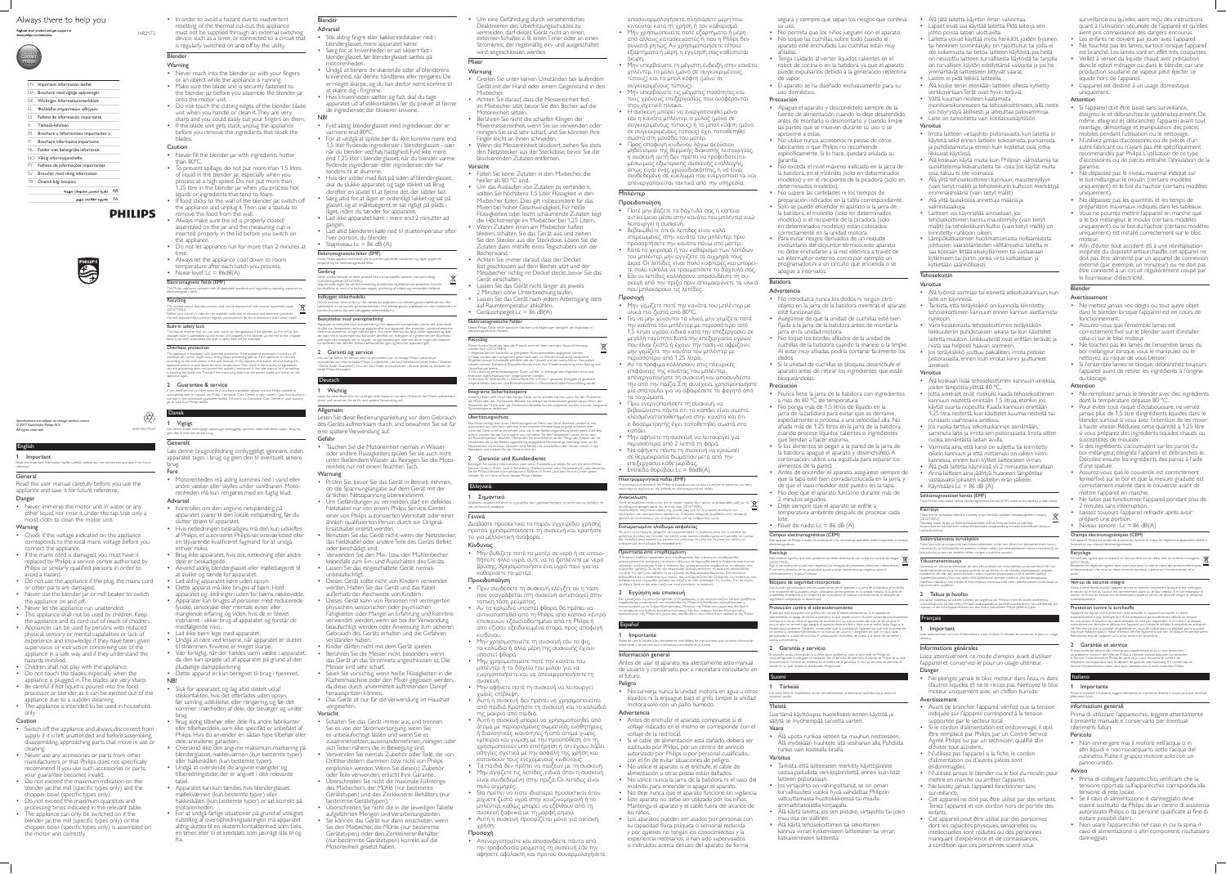# Always there to help you

#### Register your product and get support at www.philips.com/welcom

# English

**Important** Read this Important Information leaflet carefully before you use the blender and save it for future reference.

#### **General**

• Never immerse the motor unit in water or any other liquid, nor rinse it under the tap. Use only a moist cloth to clean the motor unit.

**Warning** 

Read this user manual carefully before you use the appliance and save it for future reference. Danger

- Check if the voltage indicated on the appliance corresponds to the local mains voltage before you
- connect the appliance. • If the mains cord is damaged, you must have it replaced by Philips, a service centre authorised by Philips or similarly qualified persons in order to avoid a hazard.
- Do not use the appliance if the plug, the mains cord or other parts are damaged.
- Never use the blender jar or mill beaker to switch the appliance on and off.
- Never let the appliance run unattended.
- This appliance shall not be used by children. Keep the appliance and its cord out of reach of children.
- Appliances can be used by persons with reduced physical, sensory or mental capabilities or lack of experience and knowledge if they have been given supervision or instruction concerning use of the appliance in a safe way and if they understand the hazards involved.
- Children shall not play with the appliance.
- Do not touch the blades, especially when the appliance is plugged in. The blades are very sharp.
- Be careful if hot liquid is poured into the food processor or blender as it can be ejected out of the
- appliance due to a sudden steaming. • The appliance is intended to be used in household only.

#### **Caution**

- **Warning** • Never reach into the blender jar with your fingers
- or an object while the appliance is running. • Make sure the blade unit is securely fastened to
- the blender jar before you assemble the blender jar onto the motor unit.
- Do not touch the cutting edges of the blender blade unit when you handle or clean it. They are very sharp and you could easily cut your fingers on them.
- If the blade unit gets stuck, unplug the appliance before you remove the ingredients that block the blades.

#### **Caution**

- Never fill the blender jar with ingredients hotter
- than 80ºC. • To prevent spillage, do not put more than 1.5 litres of liquid in the blender jar, especially when you process at a high speed. Do not put more than 1.25 litre in the blender jar when you process hot liquids or ingredients that tend to foam.
- If food sticks to the wall of the blender jar, switch off the appliance and unplug it. Then use a spatula to remove the food from the wall.
- Always make sure the lid is properly closed/ assembled on the jar and the measuring cup is inserted properly in the lid before you switch on the appliance.
- Do not let appliance run for more than 2 minutes at time.
- Always let the appliance cool down to room temperature after each batch you process.
- Noise level:  $Lc = 86dB(A)$

- Switch off the appliance and always disconnect from supply if it is left unattended and before assembling, disassembling, approaching parts that move in use or cleaning.
- Never use any accessories or parts from other manufacturers or that Philips does not specifically recommend. If you use such accessories or parts, your guarantee becomes invalid.
- Do not exceed the maximum indication on the blender jar, the mill (specific types only) and the chopper bowl (specific types only).
- Do not exceed the maximum quantities and
- processing times indicated in the relevant table. • The appliance can only be switched on if the blender jar, the mill (specific types only) or the chopper bowl (specific types only) is assembled on the motor unit correctly.

• In order to avoid a hazard due to inadvertent resetting of the thermal cut-out, this appliance must not be supplied through an external switching device, such as a timer, or connected to a circuit that is regularly switched on and off by the utility.

# Blender

The appliance is equipped with overheat protection. If the appliance overheats, it switches of automatically (which might occur during heavy processing jobs or if the appliance is not used according to the instructions in the user manual). If this happens, first switch off and unplug the appliance and let it cool down to room temperature. Then check if the quantity of ingredients  $\frac{1}{2}$  are processing does not exceed the quantity mentioned in the user manual or if some s blocking the blade unit. Then put the mains plug back into the power outlet and switch on the appliance again.

Vigtigt Læs denne folder med vigtige oplysninger omhyggeligt igennem, inden blenderen tages i brug, og gem den til eventuel senere brug.

#### Electromagnetic fields (EMF) This Philips appliance complies with all applicable standards and regulations regarding exposure to electromagnetic fields.

# **Recycling**

♦ 4240 002 01624 This symbol means that this product shall not be disposed of with normal household waste (2012/19/EU). Follow your country's rules for the separate collection of electrical and electronic products. Correct disposal helps prevent negative consequences for the environment and human health.

Built-in safety lock This feature ensures that you can only switch on the appliance if the blender jar, the mill or the chopper bowl is assembled on the motor unit properly. If the blender jar, the mill or the chopper bowl is correctly assembled, the built-in safety lock will be unlocked.

#### Overheat protection

e funktion sikrer at du kun kan tænde for apparatet, hvis blenderglasset, møllekværnen eller hakkeskålen er sat korrekt på motorenheden. Hvis blenderglasset, møllekværnen eller hakkeskålen er

#### 2 Guarantee & service

If you need service or information or if you have a problem, please visit the Philips website at www.philips.com or contact the Philips Consumer Care Centre in your country (you find its phone number in the worldwide guarantee leaflet). If there is no Consumer Care Centre in your country, go to your local Philips dealer.

aratet er beskyttet mod overophedning. Hvis apparatet overophedes, slukker det automatisk hvilket kan forekomme ved tunge opgaver, eller hvis apparatet ikke anvendes i overensstemme med instruktionerne i brugervejledningen). Hvis dette sker, skal du først slukke apparatet og lade det køle ned til stuetemperatur. Kontroller derefter, om mængden af ingredienser, der tilberede overstiger den mængde, der er angivet i brugervejledningen, eller om der er noget, der blokerer

# Dansk

om eller kontakte Philips' kundecenter i dit land (telefonnummeret findes i folderen "World-Wide Guarantee"). Hvis der ikke findes et kundecenter i dit land, bedes du kontakte din

# Generelt

Læs denne brugsvejledning omhyggeligt igennem, inden apparatet tages i brug, og gem den til eventuelt senere brug.

Fare • Motorenheden må aldrig kommes ned i vand eller andre væsker eller skylles under vandhanen. Motorenheden må kun rengøres med en fugtig klud.

# Advarsel

- Kontroller, om den angivne netspænding på apparatet svarer til den lokale netspænding, før du slutter strøm til apparatet.
- Hvis netledningen beskadiges, må den kun udskiftes af Philips, et autoriseret Philips-serviceværksted eller en tilsvarende kvalificeret fagmand for at undgå enhver risiko.
- Brug ikke apparatet, hvis stik, netledning eller andre
- dele er beskadigede. • Anvend aldrig blenderglasset eller møllebægeret til
- at slukke og tænde for apparatet.
- Lad aldrig apparatet køre uden opsyn.
- Dette apparat må ikke bruges af børn. Hold
- apparatet og -ledningen uden for børns rækkevidde. • Apparater kan bruges af personer med reducerede fysiske, sensoriske eller mentale evner eller
- manglende erfaring og viden, hvis de er blevet instrueret i sikker brug af apparatet og forstår de medfølgende risici.
- Lad ikke børn lege med apparatet.
- Undgå at røre ved knivene, når apparatet er sluttet til strømmen. Knivene er meget skarpe.
- Vær forsigtig, når der hældes varm væske i apparatet, da den kan sprøjte ud af apparatet på grund af den pludselige damppåvirkning.
- Dette apparat er kun beregnet til brug i hjemmet. NB!
- Sluk for apparatet, og tag altid stikket ud af stikkontakten, hvis det efterlades uden opsyn, før samling, adskillelse, eller rengøring, og før det kommer i nærheden af dele, der bevæger sig under brug.
- Brug aldrig tilbehør eller dele fra andre fabrikanter eller tilbehør/dele, som ikke specifikt er anbefalet af Philips. Hvis du anvender en sådan type tilbehør eller dele, annulleres garantien.
- Overskrid ikke den angivne maksimum-markering på blenderglasset, møllekværnen (kun bestemte typer) eller hakkeskålen (kun bestemte typer).
- Undgå at overskride de angivne mængder og tilberedningstider, der er angivet i den relevante tabel.
- Apparatet kan kun tændes, hvis blenderglasset, møllekværnen (kun bestemte typer) eller hakkeskålen (kun bestemte typer) er sat korrekt på motorenheden.
- For at undgå farlige situationer på grund af utilsigtet nulstilling af overophedningssikringen må apparatet aldrig sluttes til en ekstern kontaktenhed, som f.eks. en timer, eller til et kredsløb, som jævnligt slås til og fra.
- **Warnung**
- Greifen Sie unter keinen Umständen bei laufendem Gerät mit der Hand oder einem Gegenstand in den Mixbecher.
- Achten Sie darauf, dass die Messereinheit fest im Mixbecher sitzt, bevor Sie den Becher auf die
- Motoreinheit setzen. • Berühren Sie nicht die scharfen Klingen der Mixermessereinheit, wenn Sie sie verwenden oder reinigen. Sie sind sehr scharf, und Sie könnten Ihre Finger leicht an ihnen schneiden.
- Wenn die Messereinheit blockiert, ziehen Sie stets den Netzstecker aus der Steckdose, bevor Sie die blockierenden Zutaten entfernen.

HR2173

Specifications are subject to change without notice © 2017 Koninklijke Philips N.V. All rights reserved.



# Blender

- Advarsel
- Stik aldrig fingre eller køkkenredskaber ned i blenderglasset, mens apparatet kører.
- Sørg for, at knivenheden er sat sikkert fast i blenderglasset, før blenderglasset sættes på
- motorenheden. • Undgå at berøre de skærende sider af blenderens knivenhed, når denne håndteres eller rengøres. De er meget skarpe, og du kan derfor nemt komme til at skære dig i fingrene.
- Hvis knivenheden sætter sig fast, skal du tage apparatet ud af stikkontakten, før du prøver at fjerne de ingredienser, der blokerer knivene.

ntegrierte Sicherheitssperre .<br>Funktion stellt sicher, dass Sie das Gerät nur einschalten können, wenn Sie den Mixbecher, ie Mühle oder den Zerkleinerer-Behälter korrekt auf die Motoreinheit gesetzt haben. Wenn der Mixbecher, die Mühle oder der Zerkleinerer-Behälter korrekt aufgesetzt wurden, wird die integrierte Sicherheitssperre deaktiviert.

## NB!

nötigen Sie weitere Informationen oder treten Probleme auf, setzen Sie sich mit einem Philips Service-Center in Ihrem Land in Verbindung (Telefonnummer siehe Garantieschrift), oder besuchen Sie die Philips Website (www.philips.com). Sollte es in Ihrem Land kein Service-Center geben, wenden Sie sich bitte an Ihren lokalen Philips Händler.

- Fyld aldrig blenderglasset med ingredienser, der er varmere end 80ºC.
- For at undgå at spilde bør du ikke komme mere end 1,5 liter flydende ingredienser i blenderglasset - især når du blender ved høj hastighed. Fyld ikke mere end 1,25 liter i blenderglasset, når du blender varme flydende ingredienser eller ingredienser, der har tendens til at skumme.
- Hvis der sidder mad fast på siden af blenderglasset, skal du slukke apparatet og tage stikket ud. Brug derefter en spatel til at fjerne det, der sidder fast.
- Sørg altid for, at låget er ordentligt lukket og sat på glasset, og at målebægeret er sat rigtigt på plads i låget, inden du tænder for apparatet.
- Lad ikke apparatet køre i mere end 2 minutter ad gangen • Lad altid blenderen køle ned til stuetemperatur efter
- hver portion, du blender.

• Støjniveau:  $Lc = 86$  dB  $(A)$ 

Elektromagnetiske felter (EMF) Dette Philips-apparat overholder alle branchens gældende standarder og regler angående

eksponering for elektromagnetiske felter.

ndbygget sikkerhedslås

**Genbrug** 

Dette symbol betyder, at dette produkt ikke må bortskaffes sammen med almindeligt husholdningsaffald (2012/19/EU). Følg dit lands regler for særskilt indsamling af elektriske og elektroniske produkter. Korrekt bortskaffelse er med til at forhindre negativ påvirkning af miljøet og menneskers helbred.

korrekt monteret, slår den indbyggede sikkerhedslås fra.

durch, und bewahren Sie sie für eine spätere Verwendung au

Beskyttelse mod overophedning

knivenheden. Sæt derefter stikket i stikkontakten igen, og tænd for apparatet igen.

2 Garanti og service

lokale Philips-forhandle

Hvis du har behov for service eller har et problem, kan du besøge Philips' websted på

1 Wichtig

**Deutsch** 

Lesen Sie diese Broschüre mit wichtigen Informationen vor dem Gebrauch des Mixers aufmerksam

Allgemein

Lesen Sie diese Bedienungsanleitung vor dem Gebrauch des Geräts aufmerksam durch, und bewahren Sie sie für

eine spätere Verwendung auf.

Gefahr

Ενσωματωμένο κλείδωμα ασφαλείας Με αυτή τη λειτουργία, μπορείτε να ενεργοποιήσετε τη συσκευή μόνο εάν η κανάτα του μπλέντερ, ο μύλος και το μπολ του κόπτη είναι σωστά τοποθετημένα στη μονάδα του μοτέρ. Εάν τοποθετήσετε σωστά την κανάτα του μπλέντερ, το μύλο και το μπολ του κόπτη, το ενσωματωμένο κλείδωμα θα απασφαλιστε

• Tauchen Sie die Motoreinheit niemals in Wasser oder andere Flüssigkeiten; spülen Sie sie auch nicht unter fließendem Wasser ab. Reinigen Sie die Moto-

reinheit nur mit einem feuchten Tuch.

Warnung

• Prüfen Sie, bevor Sie das Gerät in Betrieb nehmen, ob die Spannungsangabe auf dem Gerät mit der

örtlichen Netzspannung übereinstimmt.

• Um Gefährdungen zu vermeiden, darf ein defektes Netzkabel nur von einem Philips Service-Center, einer von Philips autorisierten Werkstatt oder einer ähnlich qualifizierten Person durch ein Original-

Ersatzkabel ersetzt werden.

• Benutzen Sie das Gerät nicht, wenn der Netzstecker, das Netzkabel oder andere Teile des Geräts defekt

oder beschädigt sind.

• Verwenden Sie den Mix- bzw. den Mühlenbecher keinesfalls zum Ein- und Ausschalten des Geräts.

• Lassen Sie das eingeschaltete Gerät niemals

unbeaufsichtigt.

• Dieses Gerät sollte nicht von Kindern verwendet werden. Halten Sie das Gerät und das Kabel

außerhalb der Reichweite von Kindern.

• Dieses Gerät kann von Personen mit verringerten physischen, sensorischen oder psychischen

Fähigkeiten oder Mangel an Erfahrung und Kenntnis verwendet werden, wenn sie bei der Verwendung beaufsichtigt werden oder Anweisung zum sicheren Gebrauch des Geräts erhalten und die Gefahren

verstanden haben.

• Kinder dürfen nicht mit dem Gerät spielen. • Berühren Sie die Messer nicht, besonders wenn

das Gerät an das Stromnetz angeschlossen ist. Die

Messer sind sehr scharf.

• Seien Sie vorsichtig, wenn heiße Flüssigkeiten in die Küchenmaschine oder den Mixer gegossen werden, da diese durch unvermittelt auftretenden Dampf

herausspritzen können.

• Das Gerät ist nur für die Verwendung im Haushalt

vorgesehen.

Vorsicht

• Schalten Sie das Gerät immer aus, und trennen Sie es von der Stromversorgung, wenn Sie es unbeaufsichtigt lassen und wenn Sie es

zusammensetzen, auseinandernehmen, reinigen oder

sich Teilen nähern, die in Bewegung sind.

• Verwenden Sie niemals Zubehör oder Teile, die von Drittherstellern stammen bzw. nicht von Philips empfohlen werden. Wenn Sie diese(s) Zubehör oder Teile verwenden, erlischt Ihre Garantie. • Überschreiten Sie nicht die maximale Füllmenge des Mixbechers, der Mühle (nur bestimmte

Gerätetypen) und des Zerkleinerer-Behälters (nur

bestimmte Gerätetypen).

• Überschreiten Sie nicht die in der jeweiligen Tabelle aufgeführten Mengen und Verarbeitungszeiten. • Sie können das Gerät nur dann einschalten, wenn Sie den Mixbecher, die Mühle (nur bestimmte Gerätetypen) oder den Zerkleinerer-Behälter (nur bestimmte Gerätetypen) korrekt auf die

Motoreinheit gesetzt haben.

• Um eine Gefährdung durch versehentliches Deaktivieren des Überhitzungsschutzes zu vermeiden, darf dieses Gerät nicht an einen externen Schalter, z. B. einen Timer oder an einen Stromkreis, der regelmäßig ein- und ausgeschaltet wird, angeschlossen werden.

# Mixer

electromagnéticos. **Reciclaie** 

Esta función garantiza que solo se pueda encender el aparato si la jarra de la batidora, el molinillo o el recipiente de la picadora están colocados correctamente en la unidad motora. Si la jarra de la batidora, el molinillo o el recipiente de la picadora se colocan correctamente, el bloqueo de

### Vorsicht

• Füllen Sie keine Zutaten in den Mixbecher, die heißer als 80 °C sind.

- Um das Auslaufen von Zutaten zu verhindern, sollten Sie höchstens 1,5 Liter Flüssigkeit in den Mixbecher füllen. Dies gilt insbesondere für das Mixen bei hoher Geschwindigkeit. Für heiße Flüssigkeiten oder leicht schäumende Zutaten liegt
- die Höchstmenge im Mixbecher bei 1,25 Litern. • Wenn Zutaten innen am Mixbecher haften bleiben, schalten Sie das Gerät aus, und ziehen Sie den Stecker aus der Steckdose. Lösen Sie die Zutaten dann mithilfe eines Teigschabers von der Becherwand.
- Achten Sie immer darauf, dass der Deckel fest geschlossen auf dem Becher sitzt und der Messbecher richtig im Deckel steckt, bevor Sie das Gerät einschalten.
- Lassen Sie das Gerät nicht länger als jeweils 2 Minuten ohne Unterbrechung laufen.
- Lassen Sie das Gerät nach jedem Arbeitsgang stets auf Raumtemperatur abkühlen.

Geräuschpegel: Lc = 86 dB(A)

Elektromagnetische Felder Dieses Philips Gerät erfüllt sämtliche Normen und Regelungen bezüglich der Exposition in

## **Recycling**

elektromagnetischen Felden

Dieses Symbol bedeutet, dass das Produkt nicht mit dem normalen Hausmüll entsorgt werden kann (2012/19/EU). 1. Altgeräte können kostenlos an geeigneten Rücknahmestellen abgegeben werden. 2. Diese werden dort fachgerecht gesammelt oder zur Wiederverwendung vorbereitet. Altgeräte können Schadstoffe enthalten, die der Umwelt und der menschlichen Gesundhe schaden können. Enthaltene Rohstoffe können durch ihre Wiederverwertung einen Beitrag zum

Umweltschutz leisten. 3. Die Löschung personenbezogener Daten auf den zu entsorgenden Altgeräten muss vom Endnutzer eigenverantwortlich vorgenommen werden. 4. Hinweise für Verbraucher in Deutschland: Die in Punkt 1 genannte Rückgabe ist gesetzlich

vorgeschrieben. Sammel- und Rücknahmestellen in Deutschland: https://www.stiftung-ear.de/

- Älä koskaan lisää tehosekoittimen kannuun aineksia, joiden lämpötila ylittää 80 ºC.
- Jotta ainekset eivät roiskuisi, kaada tehosekoittimen kannuun nestettä enintään 1,5 litraa, etenkin jos käytät suurta nopeutta. Kaada kannuun enintään 1,25 litra nestettä, kun käsittelet kuumia nesteitä tai runsaasti vaahtoavia aineksia.
- Jos ruoka tarttuu sekoituskannun seinämään, sammuta laite ja irrota sen pistorasiasta. Irrota sitten ruoka seinämästä lastan avulla.
- Varmista aina, että kansi on suljettu tai kiinnitetty oikein kannuun ja että mittamuki on oikein kiinni
- kannessa, ennen kuin kytket laitteeseen virran. • Älä pidä laitetta käynnissä yli 2 minuuttia kerrallaan. • Anna laitteen aina jäähtyä huoneen lämpötilaa
- vastaavaksi jokaisen käsitellyn erän jälkeen.
- Käyntiääni: Lc = 86 dB  $(A)$

## Überhitzungsschutz

Das Gerät verfügt über einen Überhitzungsschutz. Wenn das Gerät überhitzt, schaltet es sich automatisch aus (dies kann während eines schweren Verarbeitungsvorgangs auftreten oder wenn das Gerät nicht so verwendet wird, wie in der Bedienungsanleitung beschrieben). Falls dies auftritt, schalten Sie das Gerät zuerst aus und ziehen Sie den Netzstecker. Lassen Sie es dann auf Raumtemperatur abkühlen. Überprüfen Sie anschließend, ob die Menge der Zutaten, die Sie verarbeiten, die in der Bedienungsanleitung angegebene Höchstmenge übersteigt oder ob die Messereinheit durch etwas blockiert wird. Stecken Sie anschließend den Stecker wieder in die Steckdose, und schalten Sie das Gerät erneut ein.

> ä toiminto varmistaa, että voit kytkeä laitteeseen virran vain silloin, kun tehosekoittimen kan maustemylly tai leikkuukulho on asetettu runkoon oikein. Jos tehosekoittimen kannu, maustemylly tai <code>uuku</code>l<code>h $\rm{\acute{o}}$ </code> ia kansi on asetettu oikein, rungon turvalukk $\rm{\acute{o}}$  avautuu. Ylikuumenemissuoja

aitteessa on ylikuumenemissuoja. Jos laite ylikuumenee, sen virta katkeaa automaattisesti. Niin vo iydä käsiteltäessä kovia tai raskaita aineksia tai jos laitetta ei ole käytetty käyttöoppaan ohjeide mukaisesti). Jos näin käy, sammuta laite, irrota virtajohto pistorasiasta ja anna laitteen jäähtyä mista sitten, että käsiteltävien ainesten määrä ei ylitä käyttöo mainittua määrää ja että mikään ei estä teräosan toimintaa. Liitä sitten pistoke takaisin pistorasiaan ja äynnistä laite uudelleer

#### Takuu ja huolto

#### 2 Garantie und Kundendienst

# Ελληνικά

1 Σημαντικό Διαβάστε προσεκτικά αυτό το εγχειρίδιο πριν χρησιμοποιήσετε το μπλέντερ και φυλάξτε το για μελλοντική αναφορά.

> Important Lisez attentivement ce livret d'informations avant d'utiliser le blender et conservez-le pour un usage ultérieur.

### Γενικά

Διαβάστε προσεκτικά το παρόν εγχειρίδιο χρήσης προτού χρησιμοποιήσετε τη συσκευή και κρατήστε το για μελλοντική αναφορά.

- Κίνδυνος
- Μην βυθίζετε ποτέ το μοτέρ σε νερό ή σε οποιοδήποτε άλλο υγρό, ούτε να το ξεπλένετε με νερό βρύσης. Χρησιμοποιήστε ένα υγρό πανί για να καθαρίσετε το μοτέρ.

#### Προειδοποίηση

- Πριν συνδέσετε τη συσκευή, ελέγξτε αν η τάση που αναγράφεται στη συσκευή αντιστοιχεί στην τοπική τάση ρεύματος.
- Αν το καλώδιο υποστεί φθορά, θα πρέπει να αντικατασταθεί από τη Philips, από κάποιο κέντρο επισκευών εξουσιοδοτημένο από τη Philips ή από εξίσου εξειδικευμένα άτομα, προς αποφυγή κινδύνου.
- Μην χρησιμοποιείτε τη συσκευή εάν το φις, το καλώδιο ή άλλα μέρη της συσκευής έχουν υποστεί φθορά.
- Μην χρησιμοποιείτε ποτέ την κανάτα του μπλέντερ ή το δοχείο του μύλου για να ενεργοποιήσετε και να απενεργοποιήσετε τη
- συσκευή. • Μην αφήνετε ποτέ τη συσκευή να λειτουργεί
- χωρίς επίβλεψη. • Αυτή η συσκευή δεν πρέπει να χρησιμοποιείται από παιδιά. Κρατήστε τη συσκευή και το καλώδιό της μακριά από παιδιά.
- Αυτή η συσκευή μπορεί να χρησιμοποιηθεί από άτομα με περιορισμένες σωματικές, αισθητήριες ή διανοητικές ικανότητες ή από άτομα χωρίς εμπειρία και γνώση, με την προϋπόθεση ότι τη χρησιμοποιούν υπό επιτήρηση ή ότι έχουν λάβει οδηγίες σχετικά με την ασφαλή της χρήση και κατανοούν τους ενεχόμενους κινδύνους.
- Τα παιδιά δεν πρέπει να παίζουν με τη συσκευή. • Μην αγγίζετε τις λεπίδες, ειδικά όταν η συσκευή είναι συνδεδεμένη στην πρίζα. Οι λεπίδες είναι πολύ αιχμηρές.
- Θα πρέπει να είστε ιδιαίτερα προσεκτικοί όταν ρίχνετε ζεστά υγρά στην κουζινομηχανή ή το μπλέντερ, καθώς μπορεί να εξέλθουν από τη συσκευή ξαφνικά με τη μορφή ατμού.
- Αυτή η συσκευή προορίζεται μόνο για οικιακή χρήση.

# Προσοχή

- Ne mettez jamais vos doigts ou tout autre objet dans le blender lorsque l'appareil est en cours de fonctionnement.
- Assurez-vous que l'ensemble lames est correctement fixé sur le blender avant d'installer celui-ci sur le bloc moteur.
- Ne touchez pas les lames de l'ensemble lames du bol mélangeur lorsque vous le manipulez ou le nettoyez, au risque de vous blesser.
- Si l'ensemble lames se bloque, débranchez toujours l'appareil avant de retirer les ingrédients à l'origine du blocage.

## **Attention**

- Ne remplissez jamais le blender avec des ingrédients dont la température dépasse 80 °C.
- Pour éviter tout risque d'éclaboussure, ne versez jamais plus de 1,5 litre d'ingrédients liquides dans le blender, surtout si vous avez l'intention de les mixer à haute vitesse. Réduisez cette quantité à 1,25 litre si vous préparez des ingrédients liquides chauds ou susceptibles de mousser.
- Si des ingrédients s'accumulent sur les parois du bol mélangeur, éteignez l'appareil et débranchez-le. Décollez ensuite les ingrédients des parois à l'aide d'une spatule.
- Assurez-vous que le couvercle est correctement fermé/fixé sur le bol et que la mesure graduée est correctement insérée dans le couvercle avant de mettre l'appareil en marche.
- Ne faites pas fonctionner l'appareil pendant plus de 2 minutes sans interruption.
- Laissez toujours l'appareil refroidir après avoir préparé une portion.
- Niveau sonore :  $Lc = 86$  dB(A)

• Απενεργοποιείτε και αποσυνδέετε πάντα από την τροφοδοσία ρεύματος τη συσκευή εάν την αφήσετε αφύλακτη και προτού συναρμολογήσετε, αποσυναρμολογήσετε, πλησιάσετε μέρη που κινούνται κατά τη χρήση ή τον καθαρισμό.

- Μην χρησιμοποιείτε ποτέ εξαρτήματα ή μέρη από άλλους κατασκευαστές ή που η Philips δεν συνιστά ρητώς. Αν χρησιμοποιήσετε τέτοια εξαρτήματα ή μέρη, η εγγύησή σας καθίσταται άκυρη.
- Μην υπερβαίνετε τη μέγιστη ένδειξη στην κανάτα μπλέντερ, το μύλο (μόνο σε συγκεκριμένους τύπους) και το μπολ κόφτη (μόνο σε συγκεκριμένους τύπους).
- Μην υπερβαίνετε τις μέγιστες ποσότητες και τους χρόνους επεξεργασίας που αναφέρονται στον σχετικό πίνακα.
- Η συσκευή μπορεί να ενεργοποιηθεί μόνο εάν η κανάτα μπλέντερ, ο μύλος (μόνο σε συγκεκριμένους τύπους) ή το μπολ κόφτη (μόνο σε συγκεκριμένους τύπους) έχει τοποθετηθεί σωστά στη μονάδα του μοτέρ.
- Προς αποφυγή κινδύνου λόγω ακούσιου μηδενισμού της θερμικής διακοπής λειτουργίας, η συσκευή αυτή δεν πρέπει να τροφοδοτείται μέσω μιας εξωτερικής συσκευής εναλλαγής, όπως είναι ένας χρονοδιακόπτης, ή να είναι συνδεδεμένη σε κύκλωμα που ενεργοποιείται και απενεργοποιείται τακτικά από την υπηρεσία.

Grâce à cette fonctionnalité, l'appareil se met en marche uniquement lorsque le bol mélangeur, le moulin ou le bol du hachoir est correctement placé sur le bloc moteur. Si le bol mélangeu moulin ou le bol du hachoir est correctement installé, le verrou de sécurité intégré se désactive automatiquement.

# Μπλέντερ

- Προειδοποίηση
- Ποτέ μην βάζετε τα δάχτυλά σας ή κάποιο αντικείμενο μέσα στην κανάτα του μπλέντερ ενώ λειτουργεί η συσκευή.
- Βεβαιωθείτε ότι οι λεπίδες είναι καλά στερεωμένες στην κανάτα του μπλέντερ πριν προσαρτήσετε την κανάτα πάνω στο μοτέρ.
- Κατά το χειρισμό ή τον καθαρισμό των λεπίδων του μπλέντερ, μην αγγίζετε τα αιχμηρά τους άκρα. Οι λεπίδες είναι πολύ κοφτερές και μπορείτε πολύ εύκολα να τραυματίσετε τα δάχτυλά σας.
- Εάν οι λεπίδες κολλήσουν, αποσυνδέστε τη συσκευή από την πρίζα πριν απομακρύνετε τα υλικά που μπλοκάρουν τις λεπίδες.

## Προσοχή

- 
- NO Viktig informasjonshefte
- PT Folheto de informações importantes
- SV Broschyr med viktig information TR Önemli bilgi broşürü
	- AR نشرة تتضمن معلومات مهمة

# FA دفترچه اطلاعات مهم

**PHILIPS** 



- Μην γεμίζετε ποτέ την κανάτα του μπλέντερ με υλικά πιο ζεστά από 80ºC.
- Για να μην χύνονται τα υλικά, μην γεμίζετε ποτέ την κανάτα του μπλέντερ με περισσότερο από 1,5 λίτρο υγρού, ειδικά κατά την επεξεργασία σε μεγάλη ταχύτητα. Κατά την επεξεργασία υγρών που είναι ζεστά ή έχουν την τάση να αφρίζουν, μην γεμίζετε την κανάτα του μπλέντερ με περισσότερο από 1,25 λίτρο.
- Αν τα τρόφιμα κολλήσουν στις πλευρικές επιφάνειες της κανάτας του μπλέντερ, απενεργοποιήστε τη συσκευή και αποσυνδέστε την από την πρίζα. Στη συνέχεια, χρησιμοποιήστε μια σπάτουλα για να αφαιρέσετε το φαγητό από τα τοιχώματα.
- Πριν ενεργοποιήσετε τη συσκευή, να βεβαιώνεστε πάντα ότι το καπάκι είναι σωστά κλεισμένο/τοποθετημένο στην κανάτα και ότι ο δοσομετρητής έχει τοποθετηθεί σωστά στο καπάκι.
- Μην αφήνετε τη συσκευή να λειτουργεί για περισσότερα από 2 λεπτά τη φορά.
- Να αφήνετε πάντα τη συσκευή να κρυώσει σε θερμοκρασία δωματίου μετά από την
- επεξεργασία κάθε μερίδας. • Επίπεδο θορύβου: Lc = 86dB(A)

# Ηλεκτρομαγνητικά πεδία (EMF)

Η συγκεκριμένη συσκευή της Philips συμμορφώνεται με όλα τα ισχύοντα πρότυπα και τους κανονισμούς σχετικά με την έκθεση σε ηλεκτρομαγνητικά πεδία. Ανακύκλωση

#### Αυτό το σύμβολο υποδεικνύει ότι το παρόν προϊόν δεν πρέπει να απορριφθεί μαζί με τα θισμένα απορρίμματα του σπιτιού σας (2012/ Ακολουθήστε τους κανονισμούς της χώρας σας για την ξεχωριστή συλλογή των ηλεκτρικών και ηλεκτρονικών προϊόντων. Η σωστή απόρριψη συμβάλλει στην αποφυγή αρνητικών επιπτώσεων για το περιβάλλον και την ανθρώπινη υγεία.

#### Προστασία από υπερθέρμανση

Η συσκευή διαθέτει προστασία από υπερθέρμανση. Εάν η συσκευή υπερθερμανθεί, ιπενεργοποιείται αυτόματα (το οποίο ενδέχεται να σημειωθεί κατά τη διάρκεια απαιτητικι ασίας ή εάν η συσκευή δεν χρησιμοποιείται σύμφωνα με τις οδηγίες στο εγχειρίδιο χρήσης). Σε αυτήν την περίπτωση, απενεργοποιήστε τη συσκευή, αποσυνδέστε την από την πρίζα και αφήστε τη να κρυώσει σε θερμοκρασία δωματίου. Στη συνέχεια, βεβαιωθείτε ότι η ποσότητα των υλικών που επεξεργάζεστε δεν ξεπερνάει την ποσότητα τ ρεται στο εγχειρίδιο χρήσης και ελέγξτε αν κάτι μπλοκάρει τις λεπίδες. Στη συνέχεια, συνδέστε ξανά το φις στην πρίζα και ενεργοποιήστε τη συσκευή.

#### 2 Εγγύηση και επισκευή

Εάν χρειάζεστε τεχνική εξυπηρέτηση ή πληροφορίες ή εάν αντιμετωπίζετε κάποιο πρόβλημα, παρακαλούμε επισκεφτείτε την ιστοσελίδα της Philips στη διεύθυνση www.philips.com ή επικοινωνήστε με το Τμήμα Εξυπηρέτησης Πελατών της Philips στη χώρα σας (θα βρείτε το τηλέφωνο στο διεθνές φυλλάδιο εγγύησης). Εάν δεν υπάρχει Κέντρο Εξυπηρέτησης Καταναλωτών της Philips στη χώρα σας, απευθυνθείτε στον τοπικό αντιπρόσωπο της Philips.

# Español

1 Importante Antes de usar la batidora, lea atentamente este folleto de instrucciones que contiene información importante y consérvelo por si necesitara consultarlo en el futuro.

## Información general

Antes de usar el aparato, lea atentamente este manual de usuario y consérvelo por si necesitara consultarlo en el futuro.

### Peligro

• No sumerja nunca la unidad motora en agua u otros líquidos, ni la enjuague bajo el grifo. Limpie la unidad motora solo con un paño húmedo.

#### Advertencia

- Antes de enchufar el aparato, compruebe si el voltaje indicado en el mismo se corresponde con el voltaje de la red local.
- Si el cable de alimentación está dañado, deberá ser sustituido por Philips, por un centro de servicio autorizado por Philips o por personal cualificado, con el fin de evitar situaciones de peligro.
- No utilice el aparato si el enchufe, el cable de alimentación u otras piezas están dañados.
- No utilice nunca la jarra de la batidora ni el vaso del
- molinillo para encender o apagar el aparato.
- No deje nunca que el aparato funcione sin vigilancia. • Este aparato no debe ser utilizado por los niños. Mantenga el aparato y el cable fuera del alcance de los niños.
- Los aparatos pueden ser usados por personas con su capacidad física, psíquica o sensorial reducida y por quienes no tengan los conocimientos y la experiencia necesarios, si han sido supervisados o instruidos acerca del uso del aparato de forma

segura y siempre que sepan los riesgos que conlleva su uso.

- No permita que los niños jueguen con el aparato. • No toque las cuchillas, sobre todo cuando el aparato esté enchufado. Las cuchillas están muy afiladas.
- Tenga cuidado al verter líquidos calientes en el robot de cocina o en la batidora, ya que el aparato puede expulsarlos debido a la generación repentina
- de vapor. • El aparato se ha diseñado exclusivamente para su uso doméstico.

# Precaución

- Apague el aparato y desconéctelo siempre de la fuente de alimentación cuando lo deje desatendido, antes de montarlo o desmontarlo y cuando limpie las partes que se mueven durante su uso o se aproxime a estas.
- No utilice nunca accesorios ni piezas de otros fabricantes o que Philips no recomiende específicamente. Si lo hace, quedará anulada su garantía.
- No exceda el nivel máximo indicado en la jarra de la batidora, en el molinillo (solo en determinados modelos) y en el recipiente de la picadora (solo en determinados modelos).
- No supere las cantidades ni los tiempos de preparación indicados en la tabla correspondiente.
- Solo se puede encender el aparato si la jarra de la batidora, el molinillo (solo en determinados modelos) o el recipiente de la picadora (solo en determinados modelos) están colocados correctamente en la unidad motora.
- Para evitar riesgos derivados de un reajuste involuntario del disyuntor térmico, este aparato no debe enchufarse a la red eléctrica a través de un interruptor externo, como por ejemplo un programador, ni a un circuito que encienda o se apague a intervalos.

## Batidora

#### Advertencia

• No introduzca nunca los dedos ni ningún otro objeto en la jarra de la batidora mientras el aparato esté funcionando. • Asegúrese de que la unidad de cuchillas esté bien

fijada a la jarra de la batidora antes de montar la

jarra en la unidad motora.

• No toque los bordes afilados de la unidad de

cuchillas de la batidora cuando la maneje o la limpie. Al estar muy afiladas, podría cortarse fácilmente los

dedos.

• Si la unidad de cuchillas se bloquea, desenchufe el aparato antes de retirar los ingredientes que están

bloqueándolas.

Precaución

• Nunca llene la jarra de la batidora con ingredientes

a más de 80 °C de temperatura.

• No ponga más de 1,5 litros de líquido en la

jarra de la batidora para evitar que se derrame, especialmente si procesa a una velocidad alta. No añada más de 1,25 litros en la jarra de la batidora cuando procese líquidos calientes o ingredientes

que tiendan a hacer espuma.

• Si los alimentos se pegan a la pared de la jarra de la batidora, apague el aparato y desenchúfelo. A continuación, utilice una espátula para separar los

alimentos de la pared.

• Antes de encender el aparato, asegúrese siempre de que la tapa esté bien cerrada/colocada en la jarra, y de que el vaso medidor esté puesto en la tapa. • No deje que el aparato funcione durante más de

2 minutos seguidos.

• Deje siempre que el aparato se enfríe a

temperatura ambiente después de procesar cada

lote.

Campos electromagnéticos (CEM)

Este aparato de Philips cumple los estándares y las normativas aplicables sobre exposición a campos

Este símbolo significa que este producto no debe desecharse con la basura normal del hogar (2012/19/UE). Siga la normativa de su país con respecto a la recogida de productos eléctricos y electrónicos. El correcto desecho de los productos ayuda a evitar consecuencias negativas para el

medioambiente y la salud humana.

seguridad incorporado se desactivará

Garantía y servicio

Bloqueo de seguridad incorporado

Protección contra el sobrecalentamiento

• Nivel de ruido:  $Lc = 86$  dB  $(A)$ 

El aparato está equipado con protección contra el sobrecalentamiento. Si el aparato se calienta, se apaga de forma automática, lo que puede ocurrir durante tareas de proces intensas o si no se utiliza el aparato de acuerdo con las instrucciones del manual de usuario. Si urre esto, en primer lugar apague el aparato, desenchúfelo y deje que se enfríe hasta llegar a la temperatura ambiente. Después, compruebe que la cantidad de ingredientes que está procesa no supera la cantidad mencionada en el manual de usuario y asegúrese de que no haya nada bloqueando la unidad de cuchillas. A continuación, enchúfelo de nuevo a la toma de corriente y

vuelva a encenderlo.

Si necesita ayuda, información o si tiene algún problema, visite el sitio web de Philips en

www.philips.com o póngase en contacto con el servicio de atención al cliente de Philips de su país (encontrará el número de teléfono en el folleto de la garantía). Si no hay servicio de atención al

cliente en su país, diríjase al distribuidor Philips local.

Suomi

1 Tärkeää

Lue tämä lehtinen huolellisesti ennen tehosekoittimen ensimmäistä käyttökertaa ja säilytä se

vastaisen varalle. Yleistä

Lue tämä käyttöopas huolellisesti ennen käyttöä ja

säilytä se myöhempää tarvetta varten.

Vaara

• Älä upota runkoa veteen tai muuhun nesteeseen. Älä myöskään huuhtele sitä vesihanan alla. Puhdista

runko vain kostealla liinalla.

Varoitus

• Tarkista, että laitteeseen merkitty käyttöjännite vastaa paikallista verkkojännitettä, ennen kuin liität

• Jos virtajohto on vahingoittunut, se on oman turvallisuutesi vuoksi hyvä vaihdattaa Philipsin valtuuttamassa huoltoliikkeessä tai muulla

ammattitaitoisella korjaajalla.

laitteen pistorasiaan.

• Älä käytä laitetta, jos sen pistoke, virtajohto tai jokin

muu osa on viallinen.

• Älä käytä tehosekoittimen tai sekoittimen

kannua virran kytkemiseen laitteeseen tai virran

katkaisemiseen laitteesta.

- Älä jätä laitetta käyntiin ilman valvontaa.
- Lapset eivät saa käyttää laitetta. Pidä laite ja sen johto poissa lasten ulottuvilta.
- Laitetta voivat käyttää myös henkilöt, joiden fyysinen tai henkinen toimintakyky on rajoittunut tai joilla ei ole kokemusta tai tietoa laitteen käytöstä, jos heitä on neuvottu laitteen turvallisesta käytöstä tai tarjolla on turvallisen käytön edellyttämä valvonta ja jos he ymmärtävät laitteeseen liittyvät vaarat.
- Lasten ei pidä leikkiä laitteella. • Älä koske teriin etenkään laitteen ollessa kytketty verkkovirtaan. Terät ovat hyvin teräviä.
- Vältä kuuman nesteen kaatamista
- monitoimikoneeseen tai tehosekoittimeen, sillä neste voi höyrystyä äkillisesti ja aiheuttaa palovammoja. • Laite on tarkoitettu vain kotitalouskäyttöön.

# Varoitus

- Irrota laitteen virtajohto pistorasiasta, kun laitetta ei käytetä, sekä ennen laitteen kokoamista, purkamista ja puhdistamista ja ennen kuin kosketat osia, jotka liikkuvat käytössä.
- Älä koskaan käytä muita kuin Philipsin valmistamia tai suosittelemia lisävarusteita tai -osia. Jos käytät muita osia, takuu ei ole voimassa.
- Älä ylitä tehosekoittimen kannuun, maustemyllyyn (vain tietyt mallit) ja teholeikkurin kulhoon merkittyjä enimmäismääriä (vain tietyt mallit).
- Älä ylitä taulukossa annettuja määriä ja valmistusaikoja.
- Laitteen voi käynnistää ainoastaan, jos tehosekoittimen kannu, maustemylly (vain tietyt mallit) tai teholeikkurin kulho (vain tietyt mallit) on kiinnitetty runkoon oikein.
- Lämpökatkaisimen huolimattomasta nollaamisesta johtuvien vaaratilanteiden välttämiseksi laitetta ei saa koskaan liittää aikakytkimeen tai vastaavaan kytkimeen tai piiriin, jonka virta katkaistaan ja kytketään säännöllisesti.

# **Tehosekoitin**

Varoitus

- Älä työnnä sormiasi tai esineitä sekoituskannuun, kun laite on käynnissä.
- Tarkista, että teräyksikkö on kunnolla kiinnitetty tehosekoittimen kannuun ennen kannun asettamista runkoon.
- Varo koskemasta tehosekoittimen teräyksikön leikkuuteriin puhdistuksen aikana tai kun käsittelet laitetta muutoin. Leikkuuterät ovat erittäin terävät, ja niistä saa helposti haavan sormeen.
- Jos teräyksikkö juuttuu paikalleen, irrota pistoke pistorasiasta, ennen kuin irrotat kiinni juuttuneet ainekset.

#### Varoitus

# Sähkömagneettiset kentät (EMF)

Tämä Philips-laite vastaa kaikkia sähkömagneettisia kenttiä (EMF) koskevia standardeja ja säännöksiä.

| Kierrätys   |
|-------------|
| Tämä merkki |

| Tämä merkki tarkoittaa, että tätä tuotetta ei saa hävittää tavallisen kotitalousjätteen mukana | E |
|------------------------------------------------------------------------------------------------|---|
| (2012/19/EU).                                                                                  |   |
| Noudata maasi sähkö- ja elektroniikkalaitteiden erillistä keräystä koskevia sääntöjä.          |   |
| Asianmukainen hävittäminen auttaa ehkäisemään ympäristölle ja ihmisille mahdollisesti koituvia |   |
| haittavaikutuksia.                                                                             |   |
|                                                                                                |   |

#### Sisäänrakennettu turvakytkin

Jos haluat lisätietoja tai laitteen suhteen on ongelmia, käy Philipsin Internet-sivuilla osoitteessa www.philips.com tai ota yhteys Philipsin asiakaspalveluun (puhelinnumero löytyy takuulehtisestä). Jos maassasi ei ole kuluttajapalvelukeskusta, ota yhteys paikalliseen Philips-jälleenmyyjään.

# Français

# Informations générales

Lisez attentivement ce mode d'emploi avant d'utiliser l'appareil et conservez-le pour un usage ultérieur. Danger

- 
- Ne plongez jamais le bloc moteur dans l'eau, ni dans d'autres liquides et ne le rincez pas. Nettoyez le bloc moteur uniquement avec un chiffon humide.

# Avertissement

- Avant de brancher l'appareil, vérifiez que la tension indiquée sur l'appareil correspond à la tension supportée par le secteur local.
- Si le cordon d'alimentation est endommagé, il doit être remplacé par Philips, par un Centre Service Agréé Philips ou par un technicien qualifié afin d'éviter tout accident.
- N'utilisez pas l'appareil si la fiche, le cordon d'alimentation ou d'autres pièces sont endommagées.
- N'utilisez jamais le blender ou le bol du moulin pour mettre en marche ou arrêter l'appareil.
- Ne laissez jamais l'appareil fonctionner sans
- surveillance.
- Cet appareil ne doit pas être utilisé par des enfants. Tenez l'appareil et son cordon hors de portée des enfants.
- Cet appareil peut être utilisé par des personnes dont les capacités physiques, sensorielles ou intellectuelles sont réduites ou des personnes manquant d'expérience et de connaissances, à condition que ces personnes soient sous

surveillance ou qu'elles aient reçu des instructions quant à l'utilisation sécurisée de l'appareil et qu'elles aient pris connaissance des dangers encourus.

- Les enfants ne doivent pas jouer avec l'appareil. • Ne touchez pas les lames, surtout lorsque l'appareil
- est branché. Les lames sont en effet très coupantes. • Veillez à verser du liquide chaud avec précaution dans le robot ménager ou dans le blender, car une production soudaine de vapeur peut éjecter ce
- liquide hors de l'appareil. • L'appareil est destiné à un usage domestique uniquement.

# **Attention**

- Si l'appareil doit être laissé sans surveillance, éteignez-le et débranchez-le systématiquement. De même, éteignez et débranchez l'appareil avant tout montage, démontage et manipulation des pièces mobiles pendant l'utilisation ou le nettoyage.
- N'utilisez jamais d'accessoires ou de pièces d'un autre fabricant ou n'ayant pas été spécifiquement recommandés par Philips. L'utilisation de ce type d'accessoires ou de pièces entraîne l'annulation de la garantie.
- Ne dépassez pas le niveau maximal indiqué sur le bol mélangeur, le moulin (certains modèles uniquement) et le bol du hachoir (certains modèles uniquement).
- Ne dépassez pas les quantités et les temps de
- préparation maximaux indiqués dans les tableaux. • Vous ne pourrez mettre l'appareil en marche que si le bol mélangeur, le moulin (certains modèles
- uniquement) ou le bol du hachoir (certains modèles uniquement) est installé correctement sur le bloc moteur.
- Afin d'éviter tout accident dû à une réinitialisation inopinée du dispositif antisurchauffe, cet appareil ne doit pas être alimenté par un appareil de connexion externe (par exemple, un minuteur) ou ne doit pas être connecté à un circuit régulièrement coupé par le fournisseur d'électricité.

## Blender

# Avertissement

Champs électromagnétiques (CEM)

Cet appareil Philips est conforme à toutes les normes et à tous les règlements applicables relatifs à l'exposition aux champs électromagnétiques.

# Recyclage

 $\epsilon$ mbole signifie que ce produit ne doit pas être mis au rebut avec les ordures ménagères  $\sqrt{\sqrt{2}}$ (2012/19/UE). Respectez les règles en vigueur dans votre pays pour la mise au rebut des produits électriques et électroniques. Une mise au rebut correcte contribue à préserver l'environnement et la santé

#### Verrou de sécurité intégré

#### Protection contre la surchauffe

L'appareil est équipé d'une protection antisurchauffe. Si l'appareil surchauffe, il s'éteint ement (par exemple lors d'une préparation particulièrement difficile ou lorsque les instructions d'utilisation du mode d'emploi ne sont pas respectées). Si le moteur se bloque, mencez par éteindre et débrancher l'appareil, puis laissez-le refroidir à température ambiante Vérifiez ensuite que la quantité d'ingrédients en cours de préparation ne dépasse pas la quantité imale indiquée dans le mode d'emploi.Vérifiez également que rien ne bloque l'ensemble lames. Rebranchez ensuite l'appareil sur la prise secteur et rallumez-le.

#### **Garantie et service**

Si vous souhaitez obtenir des informations supplémentaires ou si vous rencontrez un problème, visitez le site Web de Philips à l'adresse www.philips.com ou contactez

le Service Consommateurs Philips de votre pays (vous trouverez le numéro de téléphone correspondant dans le dépliant de garantie internationale). S'il n'existe pas de Service Consommateurs dans votre pays, adressez-vous à votre revendeur Philips.

# Italiano

**Importante** Prima di utilizzare il frullatore, leggere attentamente il presente libretto e conservarlo per eventual

# riferimenti futuri.

Informazioni generali

Prima di utilizzare l'apparecchio, leggere attentamente il presente manuale e conservarlo per eventuali riferimenti futuri.

# Pericolo

• Non immergere mai il motore nell'acqua o in altri liquidi e non risciacquarlo sotto l'acqua del rubinetto. Pulite il gruppo motore solo con un panno umido.

#### Avviso

- Prima di collegare l'apparecchio, verificare che la tensione riportata sull'apparecchio corrisponda alla tensione di rete locale.
- Se il cavo di alimentazione è danneggiato deve essere sostituito da Philips, da un centro di assistenza autorizzato Philips o da persone qualificate al fine di evitare possibili danni.
- Non usare l'apparecchio nel caso in cui la spina, il cavo di alimentazione o altri componenti risultassero danneggiati.

| en.  | Important information leaflet         |
|------|---------------------------------------|
| DA.  | Brochure med vigtige oplysninger      |
| DE.  | Wichtiges Informationsmerkblatt       |
| FL.  | Φυλλάδιο σημαντικών οδηγιών           |
| FS - | Folleto de información importante     |
| FI   | Tärkeää-lehtinen                      |
| FR.  | Brochure « Informations importantes » |
| IΤ   | Brochure informativa importante       |
| NL   | Folder met belangrijke informatie     |